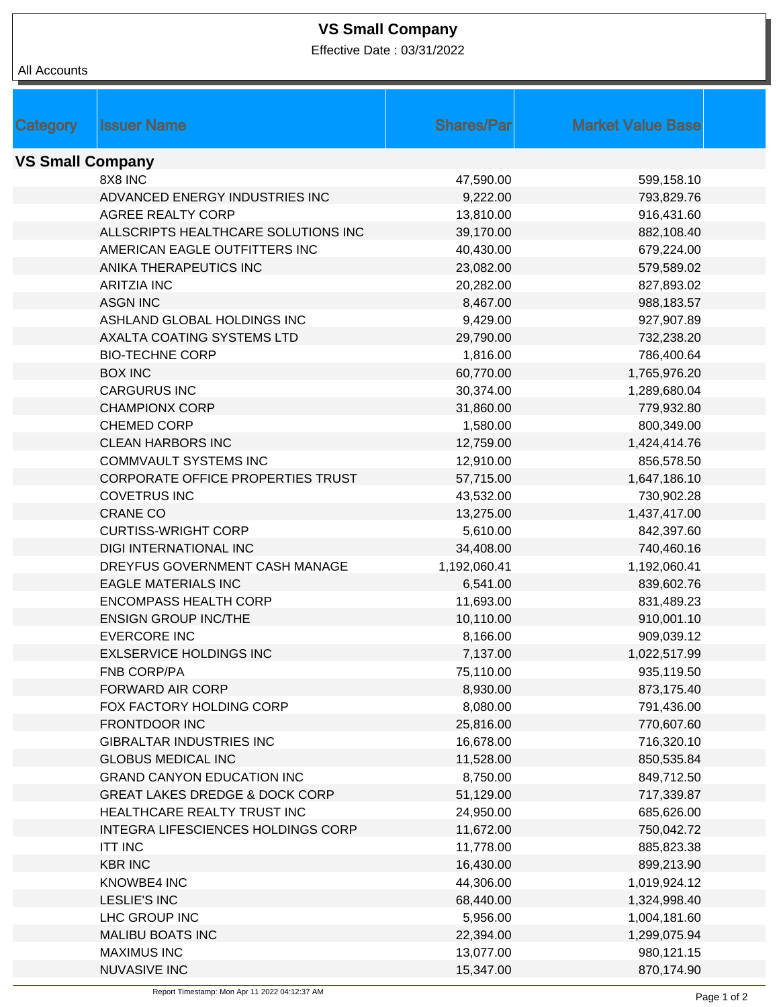## **VS Small Company**

Effective Date : 03/31/2022

| All Accounts            |                                           |                   |                          |  |  |
|-------------------------|-------------------------------------------|-------------------|--------------------------|--|--|
|                         |                                           |                   |                          |  |  |
|                         |                                           |                   |                          |  |  |
| <b>Category</b>         | <b>Issuer Name</b>                        | <b>Shares/Par</b> | <b>Market Value Base</b> |  |  |
| <b>VS Small Company</b> |                                           |                   |                          |  |  |
|                         | 8X8 INC                                   | 47,590.00         | 599,158.10               |  |  |
|                         | ADVANCED ENERGY INDUSTRIES INC            | 9,222.00          | 793,829.76               |  |  |
|                         | AGREE REALTY CORP                         | 13,810.00         | 916,431.60               |  |  |
|                         | ALLSCRIPTS HEALTHCARE SOLUTIONS INC       | 39,170.00         | 882,108.40               |  |  |
|                         | AMERICAN EAGLE OUTFITTERS INC             | 40,430.00         | 679,224.00               |  |  |
|                         | ANIKA THERAPEUTICS INC                    | 23,082.00         | 579,589.02               |  |  |
|                         | <b>ARITZIA INC</b>                        | 20,282.00         | 827,893.02               |  |  |
|                         | <b>ASGN INC</b>                           | 8,467.00          | 988,183.57               |  |  |
|                         | ASHLAND GLOBAL HOLDINGS INC               | 9,429.00          | 927,907.89               |  |  |
|                         | AXALTA COATING SYSTEMS LTD                | 29,790.00         | 732,238.20               |  |  |
|                         | <b>BIO-TECHNE CORP</b>                    | 1,816.00          | 786,400.64               |  |  |
|                         | <b>BOX INC</b>                            | 60,770.00         | 1,765,976.20             |  |  |
|                         | <b>CARGURUS INC</b>                       | 30,374.00         | 1,289,680.04             |  |  |
|                         | <b>CHAMPIONX CORP</b>                     | 31,860.00         | 779,932.80               |  |  |
|                         | CHEMED CORP                               | 1,580.00          | 800,349.00               |  |  |
|                         | <b>CLEAN HARBORS INC</b>                  | 12,759.00         | 1,424,414.76             |  |  |
|                         | <b>COMMVAULT SYSTEMS INC</b>              | 12,910.00         | 856,578.50               |  |  |
|                         | CORPORATE OFFICE PROPERTIES TRUST         | 57,715.00         | 1,647,186.10             |  |  |
|                         | <b>COVETRUS INC</b>                       | 43,532.00         | 730,902.28               |  |  |
|                         | <b>CRANE CO</b>                           | 13,275.00         | 1,437,417.00             |  |  |
|                         | <b>CURTISS-WRIGHT CORP</b>                | 5,610.00          | 842,397.60               |  |  |
|                         | <b>DIGI INTERNATIONAL INC</b>             | 34,408.00         | 740,460.16               |  |  |
|                         | DREYFUS GOVERNMENT CASH MANAGE            | 1,192,060.41      | 1,192,060.41             |  |  |
|                         | <b>EAGLE MATERIALS INC</b>                | 6,541.00          | 839,602.76               |  |  |
|                         | <b>ENCOMPASS HEALTH CORP</b>              | 11,693.00         | 831,489.23               |  |  |
|                         | <b>ENSIGN GROUP INC/THE</b>               | 10,110.00         | 910,001.10               |  |  |
|                         | <b>EVERCORE INC</b>                       | 8,166.00          | 909,039.12               |  |  |
|                         | <b>EXLSERVICE HOLDINGS INC</b>            | 7,137.00          | 1,022,517.99             |  |  |
|                         | FNB CORP/PA                               | 75,110.00         | 935,119.50               |  |  |
|                         | FORWARD AIR CORP                          | 8,930.00          | 873,175.40               |  |  |
|                         | FOX FACTORY HOLDING CORP                  | 8,080.00          | 791,436.00               |  |  |
|                         | <b>FRONTDOOR INC</b>                      | 25,816.00         | 770,607.60               |  |  |
|                         | <b>GIBRALTAR INDUSTRIES INC</b>           | 16,678.00         | 716,320.10               |  |  |
|                         | <b>GLOBUS MEDICAL INC</b>                 | 11,528.00         | 850,535.84               |  |  |
|                         | <b>GRAND CANYON EDUCATION INC</b>         | 8,750.00          | 849,712.50               |  |  |
|                         | <b>GREAT LAKES DREDGE &amp; DOCK CORP</b> | 51,129.00         | 717,339.87               |  |  |
|                         | HEALTHCARE REALTY TRUST INC               | 24,950.00         | 685,626.00               |  |  |
|                         | INTEGRA LIFESCIENCES HOLDINGS CORP        | 11,672.00         | 750,042.72               |  |  |
|                         | <b>ITT INC</b>                            | 11,778.00         | 885,823.38               |  |  |
|                         | <b>KBR INC</b>                            | 16,430.00         | 899,213.90               |  |  |
|                         | KNOWBE4 INC                               | 44,306.00         | 1,019,924.12             |  |  |
|                         | <b>LESLIE'S INC</b>                       | 68,440.00         | 1,324,998.40             |  |  |
|                         | LHC GROUP INC                             | 5,956.00          | 1,004,181.60             |  |  |
|                         | <b>MALIBU BOATS INC</b>                   | 22,394.00         | 1,299,075.94             |  |  |
|                         | <b>MAXIMUS INC</b>                        | 13,077.00         | 980,121.15               |  |  |
|                         | <b>NUVASIVE INC</b>                       | 15,347.00         | 870,174.90               |  |  |